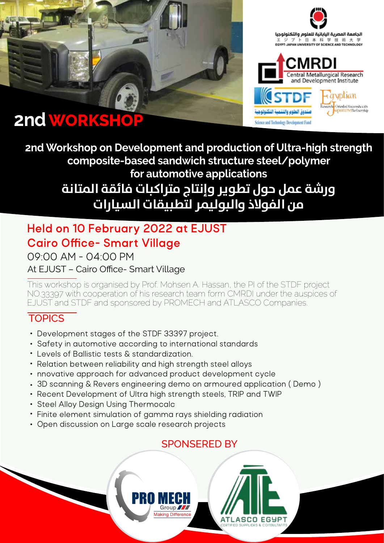





**2nd Workshop on Development and production of Ultra-high strength composite-based sandwich structure steel/polymer for automotive applications ورشة عمل حول تطوير وإنتاج متراكبات فائقة المتانة من الفولاذ والبوليمر لتطبيقات السيارات**

# **Held on 10 February 2022 at EJUST Cairo Office- Smart Village**

09:00 AM - 04:00 PM

## At EJUST – Cairo Office- Smart Village

This workshop is organised by Prof. Mohsen A. Hassan, the PI of the STDF project NO.33397 with cooperation of his research team form CMRDI under the auspices of EJUST and STDF and sponsored by PROMECH and ATLASCO Companies.

## **TOPICS**

- Development stages of the STDF 33397 project.
- Safety in automotive according to international standards
- Levels of Ballistic tests & standardization.
- Relation between reliability and high strength steel alloys
- nnovative approach for advanced product development cycle
- 3D scanning & Revers engineering demo on armoured application ( Demo )

Group 77

- Recent Development of Ultra high strength steels, TRIP and TWIP
- Steel Alloy Design Using Thermocalc
- Finite element simulation of gamma rays shielding radiation
- Open discussion on Large scale research projects

## SPONSERED BY

**ATLASCO EGYPT**